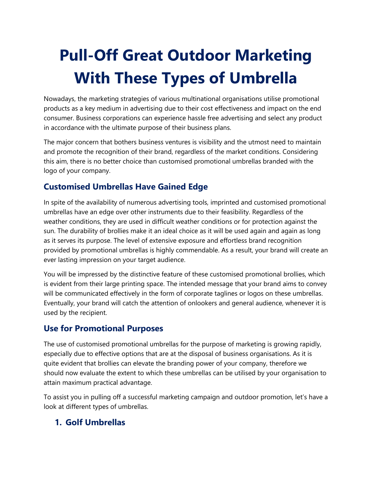# **Pull-Off Great Outdoor Marketing With These Types of Umbrella**

Nowadays, the marketing strategies of various multinational organisations utilise promotional products as a key medium in advertising due to their cost effectiveness and impact on the end consumer. Business corporations can experience hassle free advertising and select any product in accordance with the ultimate purpose of their business plans.

The major concern that bothers business ventures is visibility and the utmost need to maintain and promote the recognition of their brand, regardless of the market conditions. Considering this aim, there is no better choice than customised promotional umbrellas branded with the logo of your company.

# **Customised Umbrellas Have Gained Edge**

In spite of the availability of numerous advertising tools, imprinted and customised promotional umbrellas have an edge over other instruments due to their feasibility. Regardless of the weather conditions, they are used in difficult weather conditions or for protection against the sun. The durability of brollies make it an ideal choice as it will be used again and again as long as it serves its purpose. The level of extensive exposure and effortless brand recognition provided by promotional umbrellas is highly commendable. As a result, your brand will create an ever lasting impression on your target audience.

You will be impressed by the distinctive feature of these customised promotional brollies, which is evident from their large printing space. The intended message that your brand aims to convey will be communicated effectively in the form of corporate taglines or logos on these umbrellas. Eventually, your brand will catch the attention of onlookers and general audience, whenever it is used by the recipient.

## **Use for Promotional Purposes**

The use of customised promotional umbrellas for the purpose of marketing is growing rapidly, especially due to effective options that are at the disposal of business organisations. As it is quite evident that brollies can elevate the branding power of your company, therefore we should now evaluate the extent to which these umbrellas can be utilised by your organisation to attain maximum practical advantage.

To assist you in pulling off a successful marketing campaign and outdoor promotion, let's have a look at different types of umbrellas.

#### **1. Golf Umbrellas**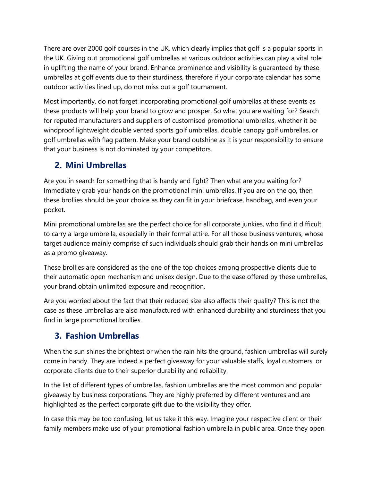There are over 2000 golf courses in the UK, which clearly implies that golf is a popular sports in the UK. Giving out promotional golf umbrellas at various outdoor activities can play a vital role in uplifting the name of your brand. Enhance prominence and visibility is guaranteed by these umbrellas at golf events due to their sturdiness, therefore if your corporate calendar has some outdoor activities lined up, do not miss out a golf tournament.

Most importantly, do not forget incorporating promotional golf umbrellas at these events as these products will help your brand to grow and prosper. So what you are waiting for? Search for reputed manufacturers and suppliers of customised promotional umbrellas, whether it be windproof lightweight double vented sports golf umbrellas, double canopy golf umbrellas, or golf umbrellas with flag pattern. Make your brand outshine as it is your responsibility to ensure that your business is not dominated by your competitors.

# **2. Mini Umbrellas**

Are you in search for something that is handy and light? Then what are you waiting for? Immediately grab your hands on the promotional mini umbrellas. If you are on the go, then these brollies should be your choice as they can fit in your briefcase, handbag, and even your pocket.

Mini promotional umbrellas are the perfect choice for all corporate junkies, who find it difficult to carry a large umbrella, especially in their formal attire. For all those business ventures, whose target audience mainly comprise of such individuals should grab their hands on mini umbrellas as a promo giveaway.

These brollies are considered as the one of the top choices among prospective clients due to their automatic open mechanism and unisex design. Due to the ease offered by these umbrellas, your brand obtain unlimited exposure and recognition.

Are you worried about the fact that their reduced size also affects their quality? This is not the case as these umbrellas are also manufactured with enhanced durability and sturdiness that you find in large promotional brollies.

## **3. Fashion Umbrellas**

When the sun shines the brightest or when the rain hits the ground, fashion umbrellas will surely come in handy. They are indeed a perfect giveaway for your valuable staffs, loyal customers, or corporate clients due to their superior durability and reliability.

In the list of different types of umbrellas, fashion umbrellas are the most common and popular giveaway by business corporations. They are highly preferred by different ventures and are highlighted as the perfect corporate gift due to the visibility they offer.

In case this may be too confusing, let us take it this way. Imagine your respective client or their family members make use of your promotional fashion umbrella in public area. Once they open